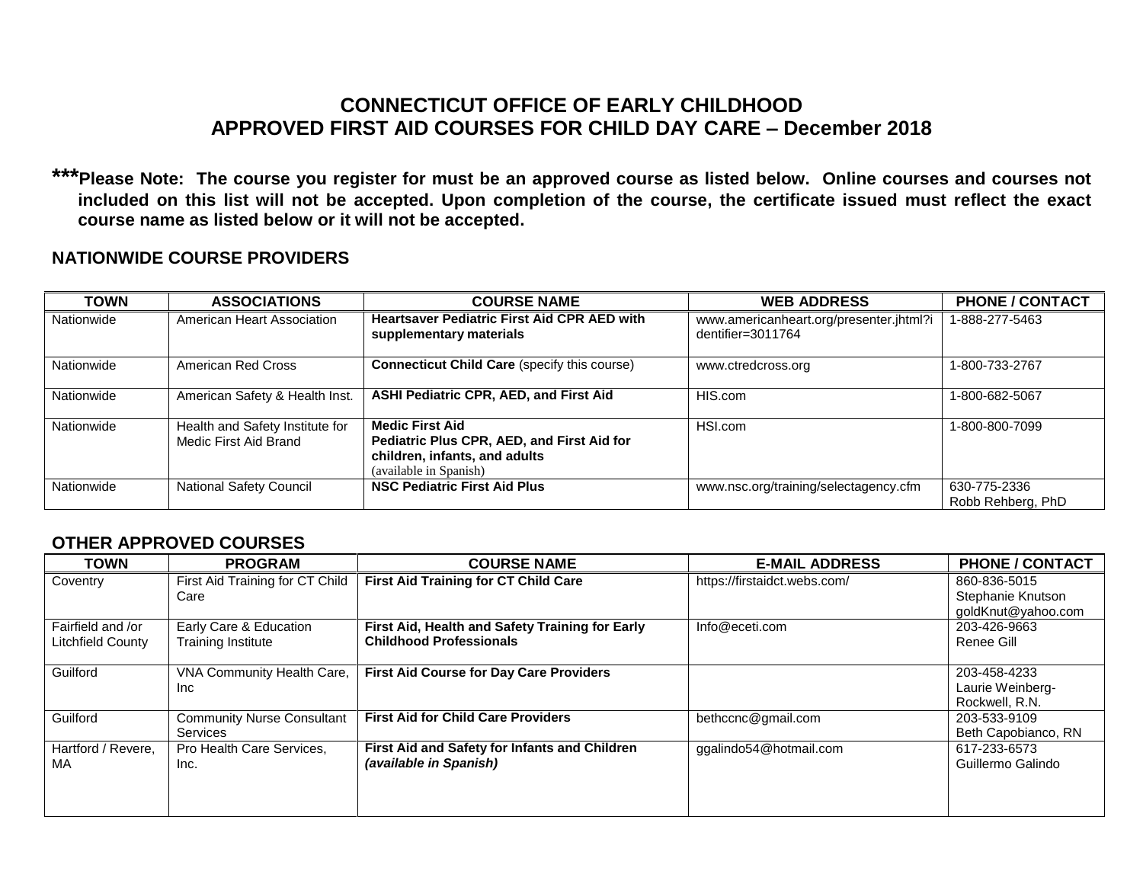## **CONNECTICUT OFFICE OF EARLY CHILDHOOD APPROVED FIRST AID COURSES FOR CHILD DAY CARE – December 2018**

**\*\*\*Please Note: The course you register for must be an approved course as listed below. Online courses and courses not included on this list will not be accepted. Upon completion of the course, the certificate issued must reflect the exact course name as listed below or it will not be accepted.**

## **NATIONWIDE COURSE PROVIDERS**

| <b>TOWN</b> | <b>ASSOCIATIONS</b>                                      | <b>COURSE NAME</b>                                                                                                              | <b>WEB ADDRESS</b>                                              | <b>PHONE / CONTACT</b>            |
|-------------|----------------------------------------------------------|---------------------------------------------------------------------------------------------------------------------------------|-----------------------------------------------------------------|-----------------------------------|
| Nationwide  | American Heart Association                               | <b>Heartsaver Pediatric First Aid CPR AED with</b><br>supplementary materials                                                   | www.americanheart.org/presenter.jhtml?i<br>dentifier= $3011764$ | 1-888-277-5463                    |
| Nationwide  | American Red Cross                                       | <b>Connecticut Child Care (specify this course)</b>                                                                             | www.ctredcross.org                                              | 1-800-733-2767                    |
| Nationwide  | American Safety & Health Inst.                           | <b>ASHI Pediatric CPR, AED, and First Aid</b>                                                                                   | HIS.com                                                         | 1-800-682-5067                    |
| Nationwide  | Health and Safety Institute for<br>Medic First Aid Brand | <b>Medic First Aid</b><br>Pediatric Plus CPR, AED, and First Aid for<br>children, infants, and adults<br>(available in Spanish) | HSI.com                                                         | 1-800-800-7099                    |
| Nationwide  | <b>National Safety Council</b>                           | <b>NSC Pediatric First Aid Plus</b>                                                                                             | www.nsc.org/training/selectagency.cfm                           | 630-775-2336<br>Robb Rehberg, PhD |

## **OTHER APPROVED COURSES**

| <b>TOWN</b>                            | <b>PROGRAM</b>                                       | <b>COURSE NAME</b>                                                                | <b>E-MAIL ADDRESS</b>        | <b>PHONE / CONTACT</b>                                  |
|----------------------------------------|------------------------------------------------------|-----------------------------------------------------------------------------------|------------------------------|---------------------------------------------------------|
| Coventry                               | First Aid Training for CT Child<br>Care              | <b>First Aid Training for CT Child Care</b>                                       | https://firstaidct.webs.com/ | 860-836-5015<br>Stephanie Knutson<br>goldKnut@yahoo.com |
| Fairfield and /or<br>Litchfield County | Early Care & Education<br><b>Training Institute</b>  | First Aid, Health and Safety Training for Early<br><b>Childhood Professionals</b> | Info@eceti.com               | 203-426-9663<br>Renee Gill                              |
| Guilford                               | VNA Community Health Care,<br>Inc.                   | <b>First Aid Course for Day Care Providers</b>                                    |                              | 203-458-4233<br>Laurie Weinberg-<br>Rockwell, R.N.      |
| Guilford                               | <b>Community Nurse Consultant</b><br><b>Services</b> | <b>First Aid for Child Care Providers</b>                                         | bethccnc@gmail.com           | 203-533-9109<br>Beth Capobianco, RN                     |
| Hartford / Revere.<br>МA               | Pro Health Care Services,<br>Inc.                    | First Aid and Safety for Infants and Children<br>(available in Spanish)           | ggalindo54@hotmail.com       | 617-233-6573<br>Guillermo Galindo                       |